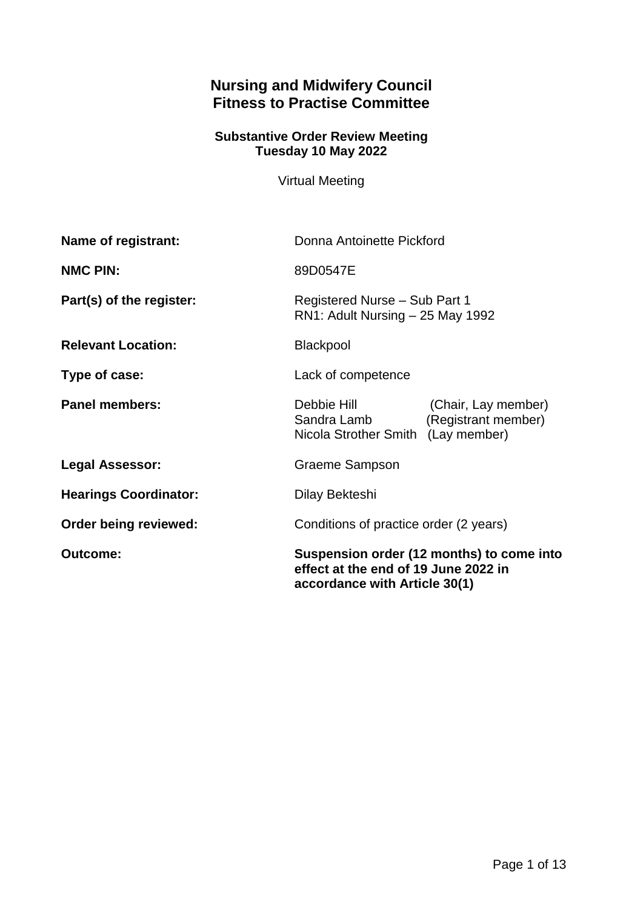# **Nursing and Midwifery Council Fitness to Practise Committee**

#### **Substantive Order Review Meeting Tuesday 10 May 2022**

Virtual Meeting

| Name of registrant:          | Donna Antoinette Pickford                                                                                          |
|------------------------------|--------------------------------------------------------------------------------------------------------------------|
| <b>NMC PIN:</b>              | 89D0547E                                                                                                           |
| Part(s) of the register:     | Registered Nurse - Sub Part 1<br>RN1: Adult Nursing - 25 May 1992                                                  |
| <b>Relevant Location:</b>    | <b>Blackpool</b>                                                                                                   |
| Type of case:                | Lack of competence                                                                                                 |
| <b>Panel members:</b>        | Debbie Hill<br>(Chair, Lay member)<br>(Registrant member)<br>Sandra Lamb<br>Nicola Strother Smith (Lay member)     |
| <b>Legal Assessor:</b>       | <b>Graeme Sampson</b>                                                                                              |
| <b>Hearings Coordinator:</b> | Dilay Bekteshi                                                                                                     |
| Order being reviewed:        | Conditions of practice order (2 years)                                                                             |
| <b>Outcome:</b>              | Suspension order (12 months) to come into<br>effect at the end of 19 June 2022 in<br>accordance with Article 30(1) |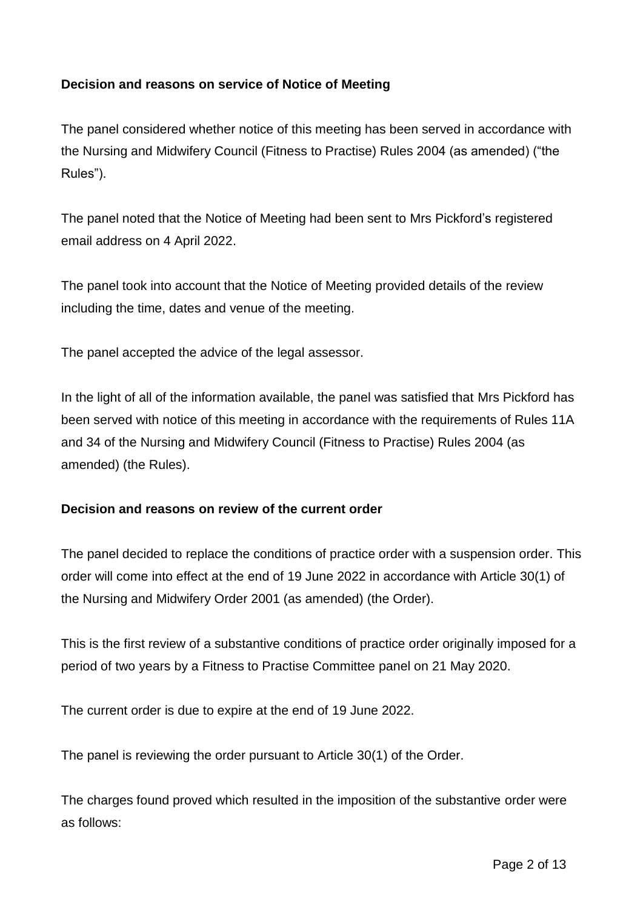## **Decision and reasons on service of Notice of Meeting**

The panel considered whether notice of this meeting has been served in accordance with the Nursing and Midwifery Council (Fitness to Practise) Rules 2004 (as amended) ("the Rules").

The panel noted that the Notice of Meeting had been sent to Mrs Pickford's registered email address on 4 April 2022.

The panel took into account that the Notice of Meeting provided details of the review including the time, dates and venue of the meeting.

The panel accepted the advice of the legal assessor.

In the light of all of the information available, the panel was satisfied that Mrs Pickford has been served with notice of this meeting in accordance with the requirements of Rules 11A and 34 of the Nursing and Midwifery Council (Fitness to Practise) Rules 2004 (as amended) (the Rules).

## **Decision and reasons on review of the current order**

The panel decided to replace the conditions of practice order with a suspension order. This order will come into effect at the end of 19 June 2022 in accordance with Article 30(1) of the Nursing and Midwifery Order 2001 (as amended) (the Order).

This is the first review of a substantive conditions of practice order originally imposed for a period of two years by a Fitness to Practise Committee panel on 21 May 2020.

The current order is due to expire at the end of 19 June 2022.

The panel is reviewing the order pursuant to Article 30(1) of the Order.

The charges found proved which resulted in the imposition of the substantive order were as follows: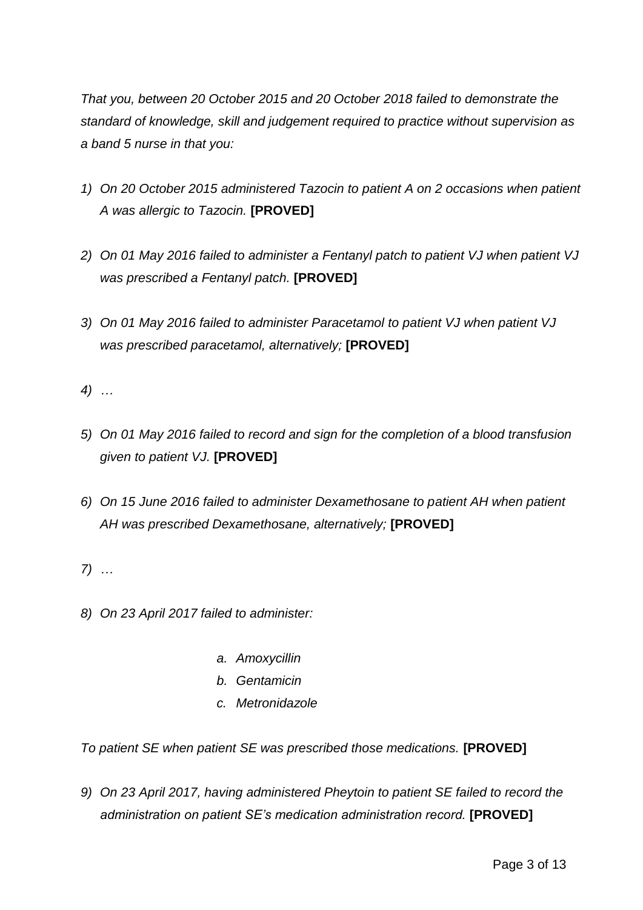*That you, between 20 October 2015 and 20 October 2018 failed to demonstrate the standard of knowledge, skill and judgement required to practice without supervision as a band 5 nurse in that you:*

- *1) On 20 October 2015 administered Tazocin to patient A on 2 occasions when patient A was allergic to Tazocin.* **[PROVED]**
- *2) On 01 May 2016 failed to administer a Fentanyl patch to patient VJ when patient VJ was prescribed a Fentanyl patch.* **[PROVED]**
- *3) On 01 May 2016 failed to administer Paracetamol to patient VJ when patient VJ was prescribed paracetamol, alternatively;* **[PROVED]**
- *4) …*
- *5) On 01 May 2016 failed to record and sign for the completion of a blood transfusion given to patient VJ.* **[PROVED]**
- *6) On 15 June 2016 failed to administer Dexamethosane to patient AH when patient AH was prescribed Dexamethosane, alternatively;* **[PROVED]**
- *7) …*
- *8) On 23 April 2017 failed to administer:*
	- *a. Amoxycillin*
	- *b. Gentamicin*
	- *c. Metronidazole*

*To patient SE when patient SE was prescribed those medications.* **[PROVED]**

*9) On 23 April 2017, having administered Pheytoin to patient SE failed to record the administration on patient SE's medication administration record.* **[PROVED]**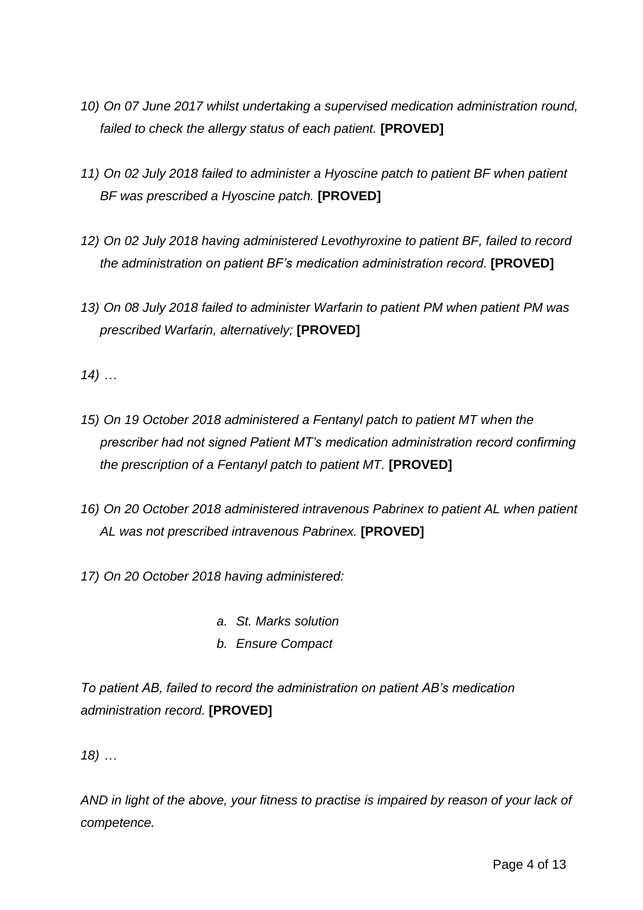- *10) On 07 June 2017 whilst undertaking a supervised medication administration round, failed to check the allergy status of each patient.* **[PROVED]**
- *11) On 02 July 2018 failed to administer a Hyoscine patch to patient BF when patient BF was prescribed a Hyoscine patch.* **[PROVED]**
- *12) On 02 July 2018 having administered Levothyroxine to patient BF, failed to record the administration on patient BF's medication administration record.* **[PROVED]**
- *13) On 08 July 2018 failed to administer Warfarin to patient PM when patient PM was prescribed Warfarin, alternatively;* **[PROVED]**

*14) …*

- *15) On 19 October 2018 administered a Fentanyl patch to patient MT when the prescriber had not signed Patient MT's medication administration record confirming the prescription of a Fentanyl patch to patient MT.* **[PROVED]**
- *16) On 20 October 2018 administered intravenous Pabrinex to patient AL when patient AL was not prescribed intravenous Pabrinex.* **[PROVED]**

*17) On 20 October 2018 having administered:*

- *a. St. Marks solution*
- *b. Ensure Compact*

*To patient AB, failed to record the administration on patient AB's medication administration record.* **[PROVED]**

*18) …*

*AND in light of the above, your fitness to practise is impaired by reason of your lack of competence.*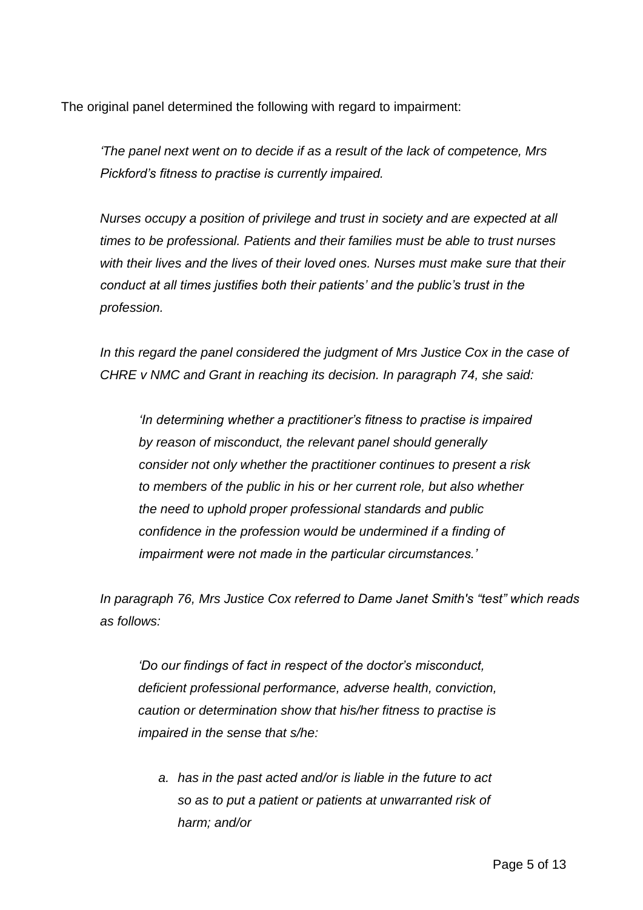The original panel determined the following with regard to impairment:

*'The panel next went on to decide if as a result of the lack of competence, Mrs Pickford's fitness to practise is currently impaired.*

*Nurses occupy a position of privilege and trust in society and are expected at all times to be professional. Patients and their families must be able to trust nurses with their lives and the lives of their loved ones. Nurses must make sure that their conduct at all times justifies both their patients' and the public's trust in the profession.*

*In this regard the panel considered the judgment of Mrs Justice Cox in the case of CHRE v NMC and Grant in reaching its decision. In paragraph 74, she said:*

*'In determining whether a practitioner's fitness to practise is impaired by reason of misconduct, the relevant panel should generally consider not only whether the practitioner continues to present a risk to members of the public in his or her current role, but also whether the need to uphold proper professional standards and public confidence in the profession would be undermined if a finding of impairment were not made in the particular circumstances.'*

*In paragraph 76, Mrs Justice Cox referred to Dame Janet Smith's "test" which reads as follows:*

*'Do our findings of fact in respect of the doctor's misconduct, deficient professional performance, adverse health, conviction, caution or determination show that his/her fitness to practise is impaired in the sense that s/he:*

*a. has in the past acted and/or is liable in the future to act so as to put a patient or patients at unwarranted risk of harm; and/or*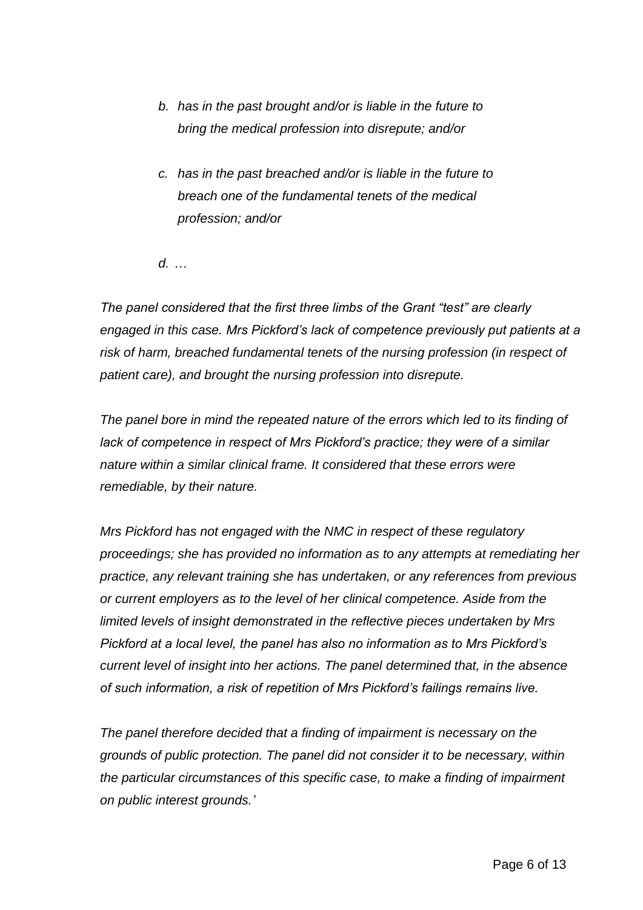- *b. has in the past brought and/or is liable in the future to bring the medical profession into disrepute; and/or*
- *c. has in the past breached and/or is liable in the future to breach one of the fundamental tenets of the medical profession; and/or*
- *d. …*

*The panel considered that the first three limbs of the Grant "test" are clearly engaged in this case. Mrs Pickford's lack of competence previously put patients at a risk of harm, breached fundamental tenets of the nursing profession (in respect of patient care), and brought the nursing profession into disrepute.*

*The panel bore in mind the repeated nature of the errors which led to its finding of lack of competence in respect of Mrs Pickford's practice; they were of a similar nature within a similar clinical frame. It considered that these errors were remediable, by their nature.* 

*Mrs Pickford has not engaged with the NMC in respect of these regulatory proceedings; she has provided no information as to any attempts at remediating her practice, any relevant training she has undertaken, or any references from previous or current employers as to the level of her clinical competence. Aside from the limited levels of insight demonstrated in the reflective pieces undertaken by Mrs Pickford at a local level, the panel has also no information as to Mrs Pickford's current level of insight into her actions. The panel determined that, in the absence of such information, a risk of repetition of Mrs Pickford's failings remains live.* 

*The panel therefore decided that a finding of impairment is necessary on the grounds of public protection. The panel did not consider it to be necessary, within the particular circumstances of this specific case, to make a finding of impairment on public interest grounds.'*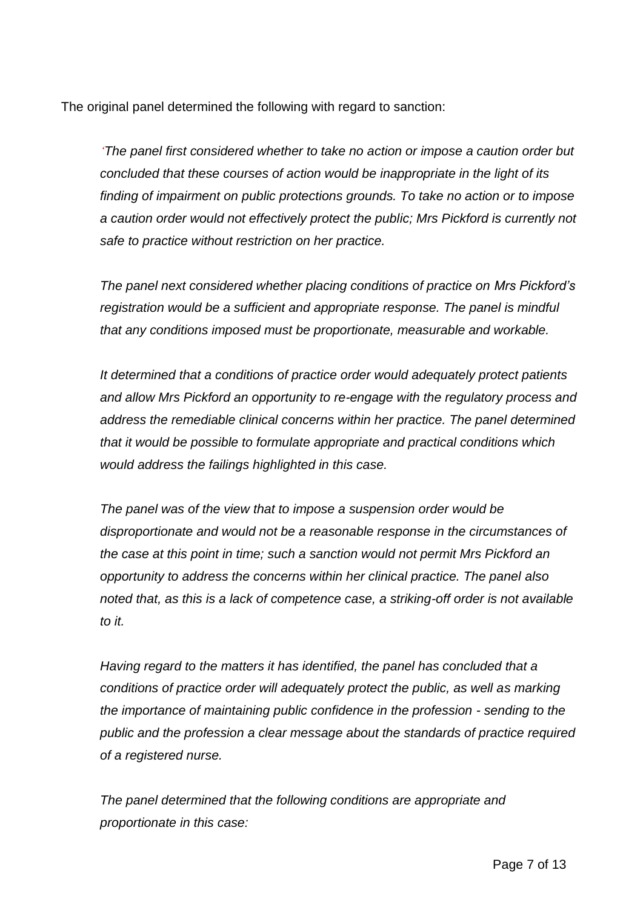The original panel determined the following with regard to sanction:

*'The panel first considered whether to take no action or impose a caution order but concluded that these courses of action would be inappropriate in the light of its finding of impairment on public protections grounds. To take no action or to impose a caution order would not effectively protect the public; Mrs Pickford is currently not safe to practice without restriction on her practice.*

*The panel next considered whether placing conditions of practice on Mrs Pickford's registration would be a sufficient and appropriate response. The panel is mindful that any conditions imposed must be proportionate, measurable and workable.* 

*It determined that a conditions of practice order would adequately protect patients and allow Mrs Pickford an opportunity to re-engage with the regulatory process and address the remediable clinical concerns within her practice. The panel determined that it would be possible to formulate appropriate and practical conditions which would address the failings highlighted in this case.* 

*The panel was of the view that to impose a suspension order would be disproportionate and would not be a reasonable response in the circumstances of the case at this point in time; such a sanction would not permit Mrs Pickford an opportunity to address the concerns within her clinical practice. The panel also noted that, as this is a lack of competence case, a striking-off order is not available to it.* 

*Having regard to the matters it has identified, the panel has concluded that a conditions of practice order will adequately protect the public, as well as marking the importance of maintaining public confidence in the profession - sending to the public and the profession a clear message about the standards of practice required of a registered nurse.*

*The panel determined that the following conditions are appropriate and proportionate in this case:*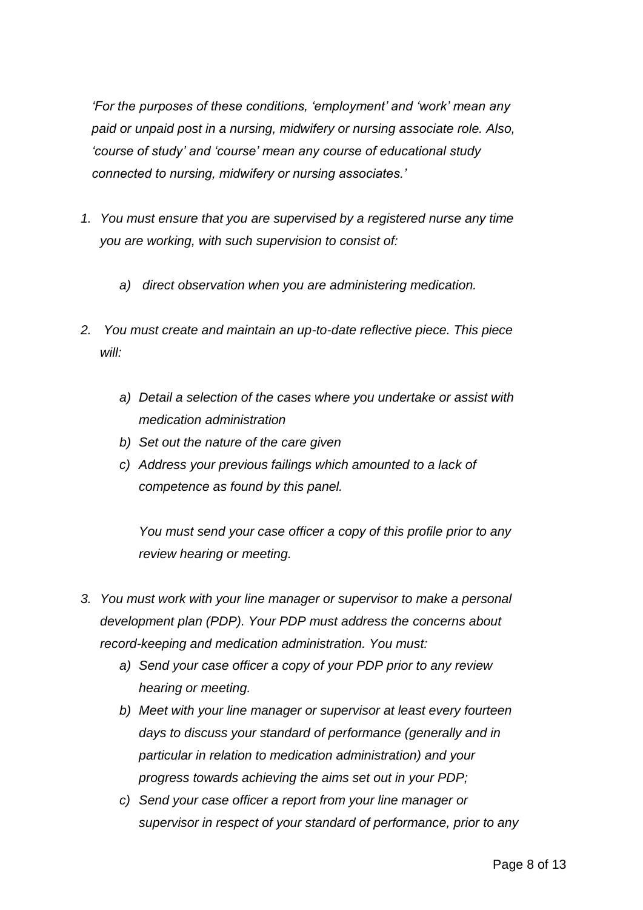*'For the purposes of these conditions, 'employment' and 'work' mean any paid or unpaid post in a nursing, midwifery or nursing associate role. Also, 'course of study' and 'course' mean any course of educational study connected to nursing, midwifery or nursing associates.'*

- *1. You must ensure that you are supervised by a registered nurse any time you are working, with such supervision to consist of:*
	- *a) direct observation when you are administering medication.*
- *2. You must create and maintain an up-to-date reflective piece. This piece will:*
	- *a) Detail a selection of the cases where you undertake or assist with medication administration*
	- *b) Set out the nature of the care given*
	- *c) Address your previous failings which amounted to a lack of competence as found by this panel.*

*You must send your case officer a copy of this profile prior to any review hearing or meeting.*

- *3. You must work with your line manager or supervisor to make a personal development plan (PDP). Your PDP must address the concerns about record-keeping and medication administration. You must:*
	- *a) Send your case officer a copy of your PDP prior to any review hearing or meeting.*
	- *b) Meet with your line manager or supervisor at least every fourteen days to discuss your standard of performance (generally and in particular in relation to medication administration) and your progress towards achieving the aims set out in your PDP;*
	- *c) Send your case officer a report from your line manager or supervisor in respect of your standard of performance, prior to any*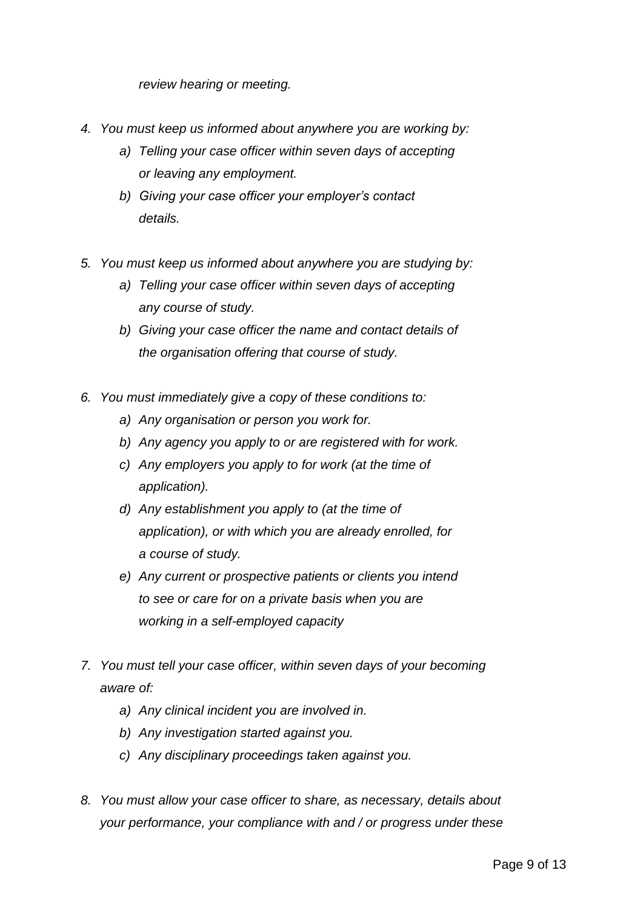*review hearing or meeting.*

- *4. You must keep us informed about anywhere you are working by:* 
	- *a) Telling your case officer within seven days of accepting or leaving any employment.*
	- *b) Giving your case officer your employer's contact details.*
- *5. You must keep us informed about anywhere you are studying by:* 
	- *a) Telling your case officer within seven days of accepting any course of study.*
	- *b) Giving your case officer the name and contact details of the organisation offering that course of study.*
- *6. You must immediately give a copy of these conditions to:* 
	- *a) Any organisation or person you work for.*
	- *b) Any agency you apply to or are registered with for work.*
	- *c) Any employers you apply to for work (at the time of application).*
	- *d) Any establishment you apply to (at the time of application), or with which you are already enrolled, for a course of study.*
	- *e) Any current or prospective patients or clients you intend to see or care for on a private basis when you are working in a self-employed capacity*
- *7. You must tell your case officer, within seven days of your becoming aware of:*
	- *a) Any clinical incident you are involved in.*
	- *b) Any investigation started against you.*
	- *c) Any disciplinary proceedings taken against you.*
- *8. You must allow your case officer to share, as necessary, details about your performance, your compliance with and / or progress under these*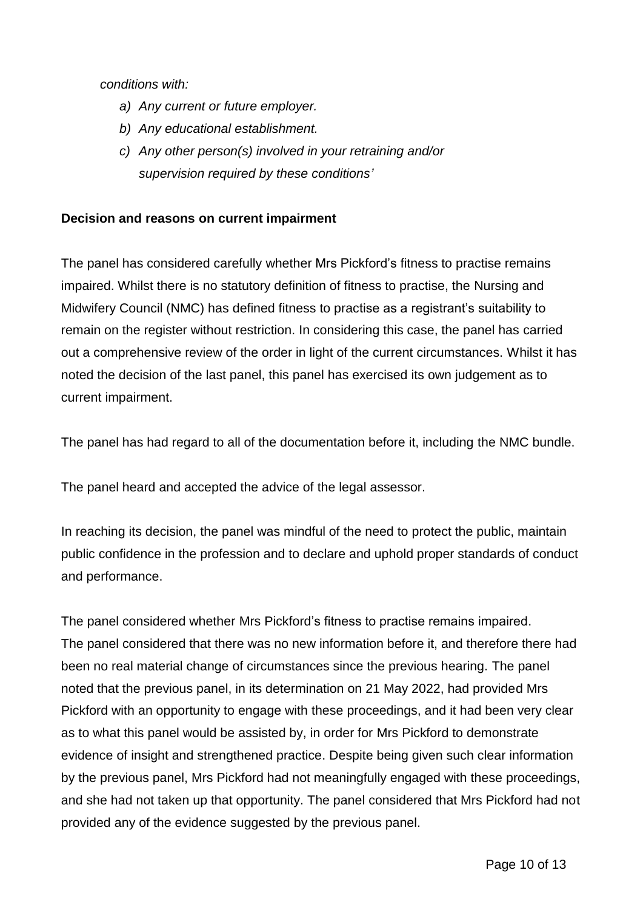*conditions with:*

- *a) Any current or future employer.*
- *b) Any educational establishment.*
- *c) Any other person(s) involved in your retraining and/or supervision required by these conditions'*

## **Decision and reasons on current impairment**

The panel has considered carefully whether Mrs Pickford's fitness to practise remains impaired. Whilst there is no statutory definition of fitness to practise, the Nursing and Midwifery Council (NMC) has defined fitness to practise as a registrant's suitability to remain on the register without restriction. In considering this case, the panel has carried out a comprehensive review of the order in light of the current circumstances. Whilst it has noted the decision of the last panel, this panel has exercised its own judgement as to current impairment.

The panel has had regard to all of the documentation before it, including the NMC bundle.

The panel heard and accepted the advice of the legal assessor.

In reaching its decision, the panel was mindful of the need to protect the public, maintain public confidence in the profession and to declare and uphold proper standards of conduct and performance.

The panel considered whether Mrs Pickford's fitness to practise remains impaired. The panel considered that there was no new information before it, and therefore there had been no real material change of circumstances since the previous hearing. The panel noted that the previous panel, in its determination on 21 May 2022, had provided Mrs Pickford with an opportunity to engage with these proceedings, and it had been very clear as to what this panel would be assisted by, in order for Mrs Pickford to demonstrate evidence of insight and strengthened practice. Despite being given such clear information by the previous panel, Mrs Pickford had not meaningfully engaged with these proceedings, and she had not taken up that opportunity. The panel considered that Mrs Pickford had not provided any of the evidence suggested by the previous panel.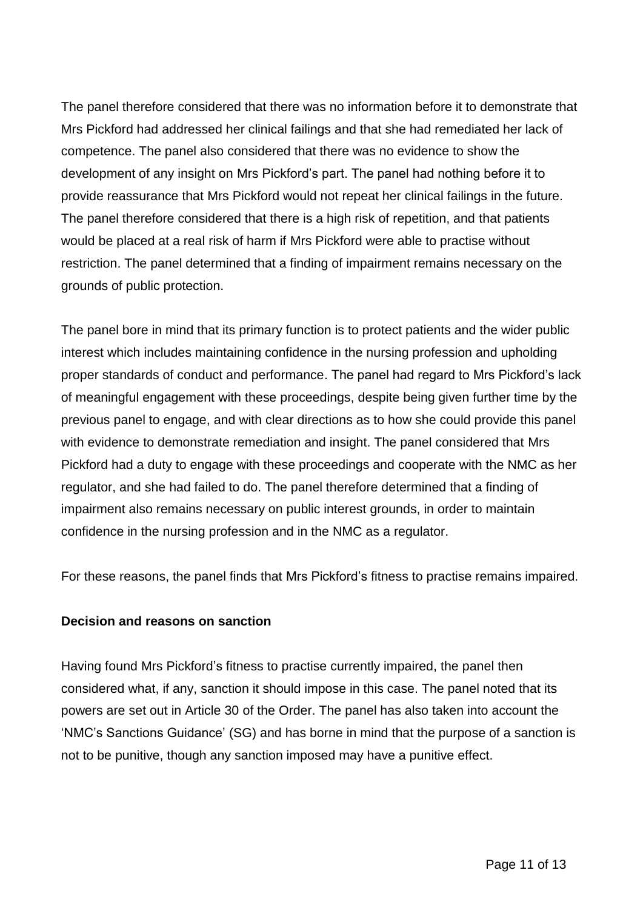The panel therefore considered that there was no information before it to demonstrate that Mrs Pickford had addressed her clinical failings and that she had remediated her lack of competence. The panel also considered that there was no evidence to show the development of any insight on Mrs Pickford's part. The panel had nothing before it to provide reassurance that Mrs Pickford would not repeat her clinical failings in the future. The panel therefore considered that there is a high risk of repetition, and that patients would be placed at a real risk of harm if Mrs Pickford were able to practise without restriction. The panel determined that a finding of impairment remains necessary on the grounds of public protection.

The panel bore in mind that its primary function is to protect patients and the wider public interest which includes maintaining confidence in the nursing profession and upholding proper standards of conduct and performance. The panel had regard to Mrs Pickford's lack of meaningful engagement with these proceedings, despite being given further time by the previous panel to engage, and with clear directions as to how she could provide this panel with evidence to demonstrate remediation and insight. The panel considered that Mrs Pickford had a duty to engage with these proceedings and cooperate with the NMC as her regulator, and she had failed to do. The panel therefore determined that a finding of impairment also remains necessary on public interest grounds, in order to maintain confidence in the nursing profession and in the NMC as a regulator.

For these reasons, the panel finds that Mrs Pickford's fitness to practise remains impaired.

#### **Decision and reasons on sanction**

Having found Mrs Pickford's fitness to practise currently impaired, the panel then considered what, if any, sanction it should impose in this case. The panel noted that its powers are set out in Article 30 of the Order. The panel has also taken into account the 'NMC's Sanctions Guidance' (SG) and has borne in mind that the purpose of a sanction is not to be punitive, though any sanction imposed may have a punitive effect.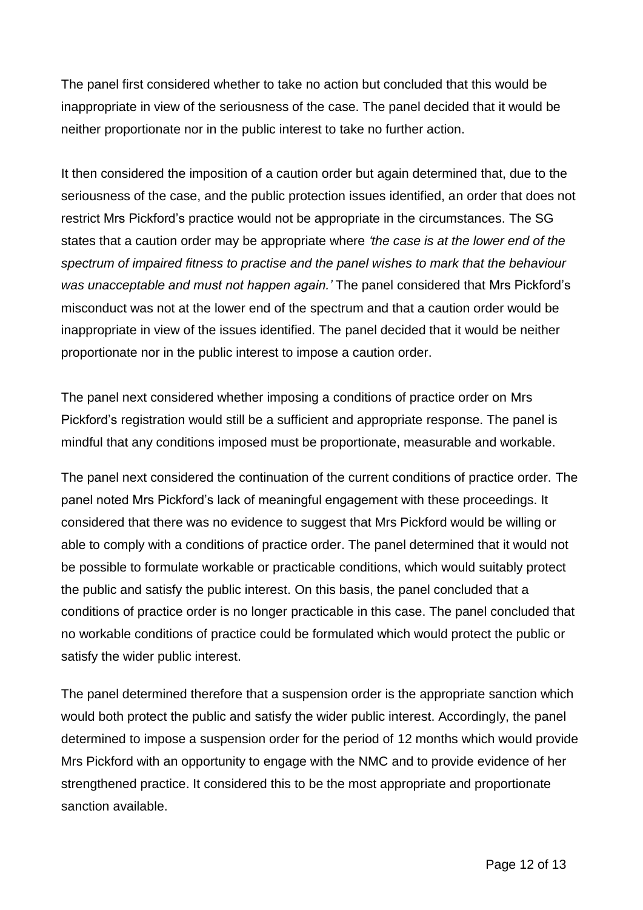The panel first considered whether to take no action but concluded that this would be inappropriate in view of the seriousness of the case. The panel decided that it would be neither proportionate nor in the public interest to take no further action.

It then considered the imposition of a caution order but again determined that, due to the seriousness of the case, and the public protection issues identified, an order that does not restrict Mrs Pickford's practice would not be appropriate in the circumstances. The SG states that a caution order may be appropriate where *'the case is at the lower end of the spectrum of impaired fitness to practise and the panel wishes to mark that the behaviour was unacceptable and must not happen again.'* The panel considered that Mrs Pickford's misconduct was not at the lower end of the spectrum and that a caution order would be inappropriate in view of the issues identified. The panel decided that it would be neither proportionate nor in the public interest to impose a caution order.

The panel next considered whether imposing a conditions of practice order on Mrs Pickford's registration would still be a sufficient and appropriate response. The panel is mindful that any conditions imposed must be proportionate, measurable and workable.

The panel next considered the continuation of the current conditions of practice order. The panel noted Mrs Pickford's lack of meaningful engagement with these proceedings. It considered that there was no evidence to suggest that Mrs Pickford would be willing or able to comply with a conditions of practice order. The panel determined that it would not be possible to formulate workable or practicable conditions, which would suitably protect the public and satisfy the public interest. On this basis, the panel concluded that a conditions of practice order is no longer practicable in this case. The panel concluded that no workable conditions of practice could be formulated which would protect the public or satisfy the wider public interest.

The panel determined therefore that a suspension order is the appropriate sanction which would both protect the public and satisfy the wider public interest. Accordingly, the panel determined to impose a suspension order for the period of 12 months which would provide Mrs Pickford with an opportunity to engage with the NMC and to provide evidence of her strengthened practice. It considered this to be the most appropriate and proportionate sanction available.